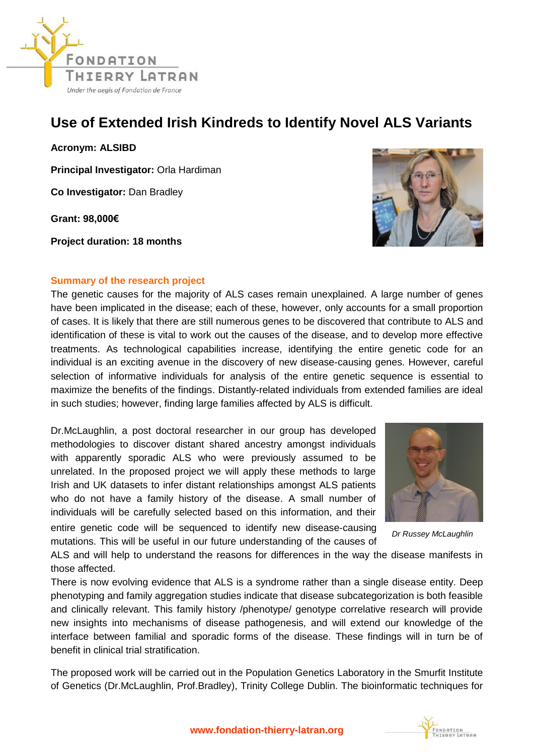

## **Use of Extended Irish Kindreds to Identify Novel ALS Variants**

**Acronym: ALSIBD**

**Principal Investigator:** Orla Hardiman

**Co Investigator:** Dan Bradley

**Grant: 98,000€** 

**Project duration: 18 months**



The genetic causes for the majority of ALS cases remain unexplained. A large number of genes have been implicated in the disease; each of these, however, only accounts for a small proportion of cases. It is likely that there are still numerous genes to be discovered that contribute to ALS and identification of these is vital to work out the causes of the disease, and to develop more effective treatments. As technological capabilities increase, identifying the entire genetic code for an individual is an exciting avenue in the discovery of new disease-causing genes. However, careful selection of informative individuals for analysis of the entire genetic sequence is essential to maximize the benefits of the findings. Distantly-related individuals from extended families are ideal in such studies; however, finding large families affected by ALS is difficult.

Dr.McLaughlin, a post doctoral researcher in our group has developed methodologies to discover distant shared ancestry amongst individuals with apparently sporadic ALS who were previously assumed to be unrelated. In the proposed project we will apply these methods to large Irish and UK datasets to infer distant relationships amongst ALS patients who do not have a family history of the disease. A small number of individuals will be carefully selected based on this information, and their entire genetic code will be sequenced to identify new disease-causing

mutations. This will be useful in our future understanding of the causes of

ALS and will help to understand the reasons for differences in the way the disease manifests in those affected.

There is now evolving evidence that ALS is a syndrome rather than a single disease entity. Deep phenotyping and family aggregation studies indicate that disease subcategorization is both feasible and clinically relevant. This family history /phenotype/ genotype correlative research will provide new insights into mechanisms of disease pathogenesis, and will extend our knowledge of the interface between familial and sporadic forms of the disease. These findings will in turn be of benefit in clinical trial stratification.

The proposed work will be carried out in the Population Genetics Laboratory in the Smurfit Institute of Genetics (Dr.McLaughlin, Prof.Bradley), Trinity College Dublin. The bioinformatic techniques for